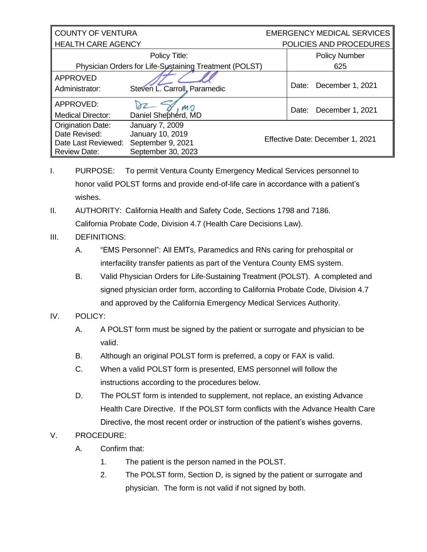| <b>COUNTY OF VENTURA</b>                               |                              | <b>EMERGENCY MEDICAL SERVICES</b> |                      |                  |
|--------------------------------------------------------|------------------------------|-----------------------------------|----------------------|------------------|
| <b>HEALTH CARE AGENCY</b>                              |                              | POLICIES AND PROCEDURES           |                      |                  |
| Policy Title:                                          |                              |                                   | <b>Policy Number</b> |                  |
| Physician Orders for Life-Sustaining Treatment (POLST) |                              |                                   | 625                  |                  |
| <b>APPROVED</b>                                        |                              |                                   |                      |                  |
| Administrator:                                         | Steven L. Carroll, Paramedic |                                   | Date:                | December 1, 2021 |
| APPROVED:                                              | MO                           |                                   | Date:                | December 1, 2021 |
| <b>Medical Director:</b>                               | Daniel Shepherd, MD          |                                   |                      |                  |
| <b>Origination Date:</b>                               | January 7, 2009              |                                   |                      |                  |
| Date Revised:                                          | January 10, 2019             | Effective Date: December 1, 2021  |                      |                  |
| Date Last Reviewed:                                    | September 9, 2021            |                                   |                      |                  |
| <b>Review Date:</b>                                    | September 30, 2023           |                                   |                      |                  |

- I. PURPOSE: To permit Ventura County Emergency Medical Services personnel to honor valid POLST forms and provide end-of-life care in accordance with a patient's wishes.
- II. AUTHORITY: California Health and Safety Code, Sections 1798 and 7186. California Probate Code, Division 4.7 (Health Care Decisions Law).
- III. DEFINITIONS:
	- A. "EMS Personnel": All EMTs, Paramedics and RNs caring for prehospital or interfacility transfer patients as part of the Ventura County EMS system.
	- B. Valid Physician Orders for Life-Sustaining Treatment (POLST). A completed and signed physician order form, according to California Probate Code, Division 4.7 and approved by the California Emergency Medical Services Authority.

## IV. POLICY:

- A. A POLST form must be signed by the patient or surrogate and physician to be valid.
- B. Although an original POLST form is preferred, a copy or FAX is valid.
- C. When a valid POLST form is presented, EMS personnel will follow the instructions according to the procedures below.
- D. The POLST form is intended to supplement, not replace, an existing Advance Health Care Directive. If the POLST form conflicts with the Advance Health Care Directive, the most recent order or instruction of the patient's wishes governs.

## V. PROCEDURE:

- A. Confirm that:
	- 1. The patient is the person named in the POLST.
	- 2. The POLST form, Section D, is signed by the patient or surrogate and physician. The form is not valid if not signed by both.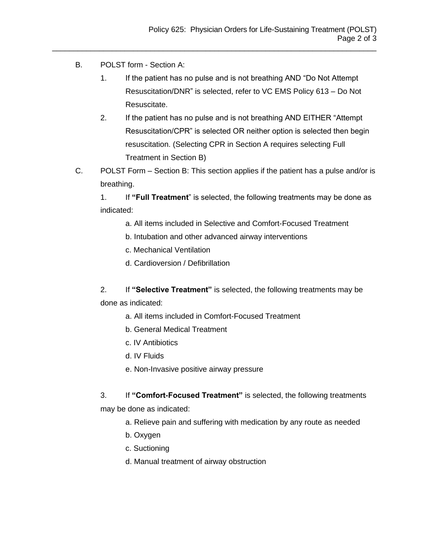- B. POLST form Section A:
	- 1. If the patient has no pulse and is not breathing AND "Do Not Attempt Resuscitation/DNR" is selected, refer to VC EMS Policy 613 – Do Not Resuscitate.

\_\_\_\_\_\_\_\_\_\_\_\_\_\_\_\_\_\_\_\_\_\_\_\_\_\_\_\_\_\_\_\_\_\_\_\_\_\_\_\_\_\_\_\_\_\_\_\_\_\_\_\_\_\_\_\_\_\_\_\_\_\_\_\_\_\_\_\_\_\_\_\_\_\_\_\_

- 2. If the patient has no pulse and is not breathing AND EITHER "Attempt Resuscitation/CPR" is selected OR neither option is selected then begin resuscitation. (Selecting CPR in Section A requires selecting Full Treatment in Section B)
- C. POLST Form Section B: This section applies if the patient has a pulse and/or is breathing.

1. If **"Full Treatment**" is selected, the following treatments may be done as indicated:

- a. All items included in Selective and Comfort-Focused Treatment
- b. Intubation and other advanced airway interventions
- c. Mechanical Ventilation
- d. Cardioversion / Defibrillation

2. If **"Selective Treatment"** is selected, the following treatments may be done as indicated:

- a. All items included in Comfort-Focused Treatment
- b. General Medical Treatment
- c. IV Antibiotics
- d. IV Fluids
- e. Non-Invasive positive airway pressure

3. If **"Comfort-Focused Treatment"** is selected, the following treatments may be done as indicated:

- a. Relieve pain and suffering with medication by any route as needed
- b. Oxygen
- c. Suctioning
- d. Manual treatment of airway obstruction